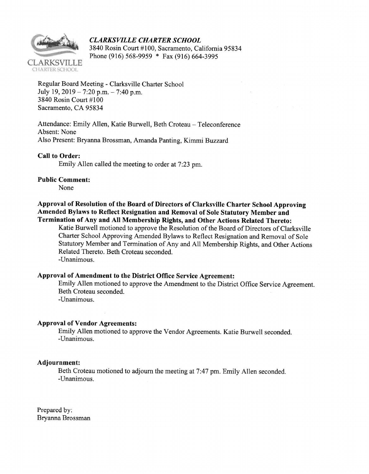

CLARKSVILLE CHARTER SCHOOL<br>3840 Rosin Court #100, Sacramento, California 95834 Phone (916) 568-9959 \* Fax (916) 664-3995

Regular Board Meeting - Clarksville Charter School July 19, 2019 - 7:20 p.m.  $-7:40$  p.m. 3840 Rosin Court #100 Sacramento, CA 95834

Attendance: Emily Allen, Katie Burwell, Beth Croteau - Teleconference Absent: None Also Present: Bryanna Brossman, Amanda Panting, Kimmi Buzzard

Call to Order:

Emily Allen called the meeting to order at 7:23 pm.

Public Comment:

None

## Approval of Resolution of the Board of Directors of Clarksville Charter School Approving Amended Bylaws to Reflect Resignation and Removal of Sole Stafutory Member and Termination of Any and All Membership Rights, and Other Actions Related Thereto:

Katie Burwell motioned to approve the Resolution of the Board of Directors of Clarksville Charter School Approving Amended Bylaws to Reflect Resignation and Removal of Sole Statutory Member and Termination of Any and A11 Membership Rights, and Other Actions Related Thereto. Beth Croteau seconded. -Unanimous.

## Approval of Amendment to the District Office Service Agreement:

Emily Allen motioned to approve the Amendment to the District Office Service Agreement. Beth Croteau seconded. -Unanimous.

## Approval of Vendor Agreements:

Emily Allen motioned to approve the Vendor Agreements. Katie Burwell seconded. -Unanimous.

## Adjournment:

Beth Croteau motioned to adjourn the meeting at 7:47 pm. Emily Allen seconded. -Unanimous.

Prepared by: Bryanna Brossman